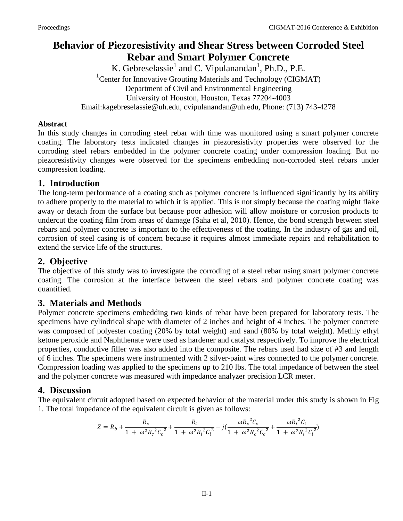# **Behavior of Piezoresistivity and Shear Stress between Corroded Steel Rebar and Smart Polymer Concrete**

K. Gebreselassie<sup>1</sup> and C. Vipulanandan<sup>1</sup>, Ph.D., P.E. <sup>1</sup> Center for Innovative Grouting Materials and Technology (CIGMAT) Department of Civil and Environmental Engineering University of Houston, Houston, Texas 77204-4003 Email:kagebreselassie@uh.edu, cvipulanandan@uh.edu, Phone: (713) 743-4278

#### **Abstract**

In this study changes in corroding steel rebar with time was monitored using a smart polymer concrete coating. The laboratory tests indicated changes in piezoresistivity properties were observed for the corroding steel rebars embedded in the polymer concrete coating under compression loading. But no piezoresistivity changes were observed for the specimens embedding non-corroded steel rebars under compression loading.

### **1. Introduction**

The long-term performance of a coating such as polymer concrete is influenced significantly by its ability to adhere properly to the material to which it is applied. This is not simply because the coating might flake away or detach from the surface but because poor adhesion will allow moisture or corrosion products to undercut the coating film from areas of damage (Saha et al, 2010). Hence, the bond strength between steel rebars and polymer concrete is important to the effectiveness of the coating. In the industry of gas and oil, corrosion of steel casing is of concern because it requires almost immediate repairs and rehabilitation to extend the service life of the structures.

# **2. Objective**

The objective of this study was to investigate the corroding of a steel rebar using smart polymer concrete coating. The corrosion at the interface between the steel rebars and polymer concrete coating was quantified.

# **3. Materials and Methods**

Polymer concrete specimens embedding two kinds of rebar have been prepared for laboratory tests. The specimens have cylindrical shape with diameter of 2 inches and height of 4 inches. The polymer concrete was composed of polyester coating (20% by total weight) and sand (80% by total weight). Methly ethyl ketone peroxide and Naphthenate were used as hardener and catalyst respectively. To improve the electrical properties, conductive filler was also added into the composite. The rebars used had size of #3 and length of 6 inches. The specimens were instrumented with 2 silver-paint wires connected to the polymer concrete. Compression loading was applied to the specimens up to 210 lbs. The total impedance of between the steel and the polymer concrete was measured with impedance analyzer precision LCR meter.

# **4. Discussion**

The equivalent circuit adopted based on expected behavior of the material under this study is shown in Fig 1. The total impedance of the equivalent circuit is given as follows:

$$
Z = R_b + \frac{R_c}{1 + \omega^2 R_c^2 C_c^2} + \frac{R_i}{1 + \omega^2 R_i^2 C_i^2} - j(\frac{\omega R_c^2 C_c}{1 + \omega^2 R_c^2 C_c^2} + \frac{\omega R_i^2 C_i}{1 + \omega^2 R_i^2 C_i^2})
$$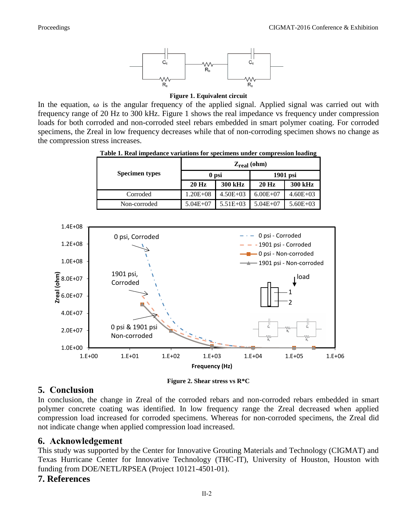

**Figure 1. Equivalent circuit**

In the equation,  $\omega$  is the angular frequency of the applied signal. Applied signal was carried out with frequency range of 20 Hz to 300 kHz. Figure 1 shows the real impedance vs frequency under compression loads for both corroded and non-corroded steel rebars embedded in smart polymer coating. For corroded specimens, the Zreal in low frequency decreases while that of non-corroding specimen shows no change as the compression stress increases.

| <b>Specimen types</b> | $Z_{\text{real}}$ (ohm) |              |              |              |
|-----------------------|-------------------------|--------------|--------------|--------------|
|                       | 0 psi                   |              | 1901 psi     |              |
|                       | $20$ Hz                 | 300 kHz      | $20$ Hz      | 300 kHz      |
| Corroded              | $1.20E + 08$            | $4.50E + 03$ | $6.00E + 07$ | $4.60E + 03$ |
| Non-corroded          | $5.04E + 07$            | $5.51E+03$   | $5.04E + 07$ | $5.60E + 03$ |

**Table 1. Real impedance variations for specimens under compression loading** 



#### **5. Conclusion**

In conclusion, the change in Zreal of the corroded rebars and non-corroded rebars embedded in smart polymer concrete coating was identified. In low frequency range the Zreal decreased when applied compression load increased for corroded specimens. Whereas for non-corroded specimens, the Zreal did not indicate change when applied compression load increased.

#### **6. Acknowledgement**

This study was supported by the Center for Innovative Grouting Materials and Technology (CIGMAT) and Texas Hurricane Center for Innovative Technology (THC-IT), University of Houston, Houston with funding from DOE/NETL/RPSEA (Project 10121-4501-01).

#### **7. References**